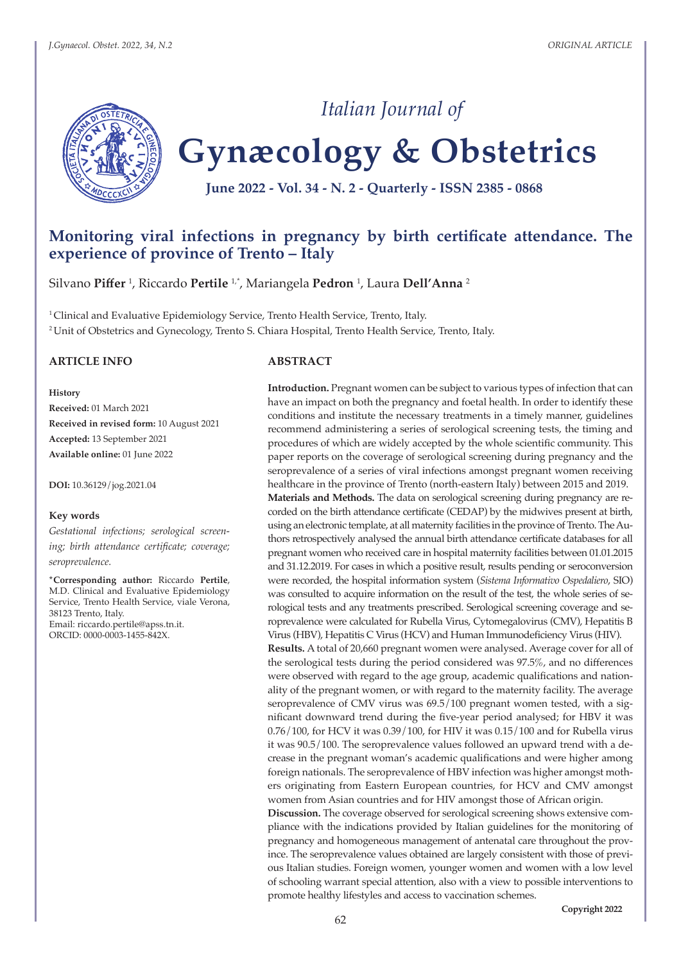

# **Gynæcology & Obstetrics**

*Italian Journal of*

**June 2022 - Vol. 34 - N. 2 - Quarterly - ISSN 2385 - 0868**

# **Monitoring viral infections in pregnancy by birth certificate attendance. The experience of province of Trento – Italy**

Silvano **Piffer** <sup>1</sup> , Riccardo **Pertile** 1,\*, Mariangela **Pedron** <sup>1</sup> , Laura **Dell'Anna** <sup>2</sup>

<sup>1</sup> Clinical and Evaluative Epidemiology Service, Trento Health Service, Trento, Italy. <sup>2</sup>Unit of Obstetrics and Gynecology, Trento S. Chiara Hospital, Trento Health Service, Trento, Italy.

#### **ARTICLE INFO**

**History**

**Received:** 01 March 2021 **Received in revised form:** 10 August 2021 **Accepted:** 13 September 2021 **Available online:** 01 June 2022

**DOI:** 10.36129/jog.2021.04

#### **Key words**

*Gestational infections; serological screening; birth attendance certificate; coverage; seroprevalence.*

**\*Corresponding author:** Riccardo **Pertile**, M.D. Clinical and Evaluative Epidemiology Service, Trento Health Service, viale Verona, 38123 Trento, Italy. Email: riccardo.pertile@apss.tn.it. ORCID: 0000-0003-1455-842X.

#### **ABSTRACT**

**Introduction.** Pregnant women can be subject to various types of infection that can have an impact on both the pregnancy and foetal health. In order to identify these conditions and institute the necessary treatments in a timely manner, guidelines recommend administering a series of serological screening tests, the timing and procedures of which are widely accepted by the whole scientific community. This paper reports on the coverage of serological screening during pregnancy and the seroprevalence of a series of viral infections amongst pregnant women receiving healthcare in the province of Trento (north-eastern Italy) between 2015 and 2019. **Materials and Methods.** The data on serological screening during pregnancy are recorded on the birth attendance certificate (CEDAP) by the midwives present at birth, using an electronic template, at all maternity facilities in the province of Trento. The Authors retrospectively analysed the annual birth attendance certificate databases for all pregnant women who received care in hospital maternity facilities between 01.01.2015 and 31.12.2019. For cases in which a positive result, results pending or seroconversion were recorded, the hospital information system (*Sistema Informativo Ospedaliero*, SIO) was consulted to acquire information on the result of the test, the whole series of serological tests and any treatments prescribed. Serological screening coverage and seroprevalence were calculated for Rubella Virus, Cytomegalovirus (CMV), Hepatitis B Virus (HBV), Hepatitis C Virus (HCV) and Human Immunodeficiency Virus (HIV).

**Results.** A total of 20,660 pregnant women were analysed. Average cover for all of the serological tests during the period considered was 97.5%, and no differences were observed with regard to the age group, academic qualifications and nationality of the pregnant women, or with regard to the maternity facility. The average seroprevalence of CMV virus was 69.5/100 pregnant women tested, with a significant downward trend during the five-year period analysed; for HBV it was 0.76/100, for HCV it was 0.39/100, for HIV it was 0.15/100 and for Rubella virus it was 90.5/100. The seroprevalence values followed an upward trend with a decrease in the pregnant woman's academic qualifications and were higher among foreign nationals. The seroprevalence of HBV infection was higher amongst mothers originating from Eastern European countries, for HCV and CMV amongst women from Asian countries and for HIV amongst those of African origin.

**Discussion.** The coverage observed for serological screening shows extensive compliance with the indications provided by Italian guidelines for the monitoring of pregnancy and homogeneous management of antenatal care throughout the province. The seroprevalence values obtained are largely consistent with those of previous Italian studies. Foreign women, younger women and women with a low level of schooling warrant special attention, also with a view to possible interventions to promote healthy lifestyles and access to vaccination schemes.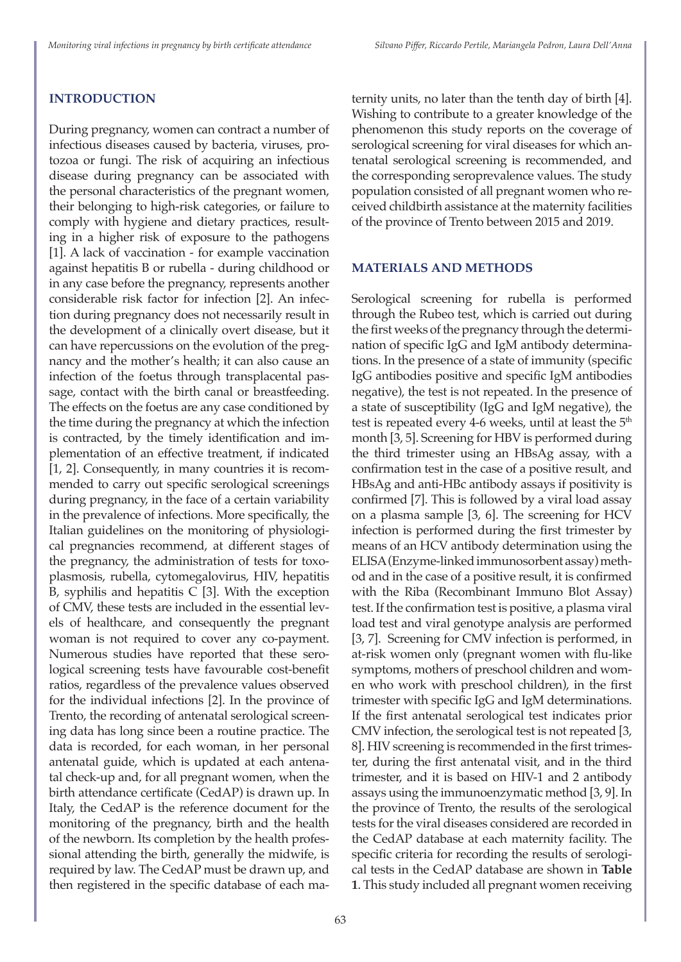# **INTRODUCTION**

During pregnancy, women can contract a number of infectious diseases caused by bacteria, viruses, protozoa or fungi. The risk of acquiring an infectious disease during pregnancy can be associated with the personal characteristics of the pregnant women, their belonging to high-risk categories, or failure to comply with hygiene and dietary practices, resulting in a higher risk of exposure to the pathogens [1]. A lack of vaccination - for example vaccination against hepatitis B or rubella - during childhood or in any case before the pregnancy, represents another considerable risk factor for infection [2]. An infection during pregnancy does not necessarily result in the development of a clinically overt disease, but it can have repercussions on the evolution of the pregnancy and the mother's health; it can also cause an infection of the foetus through transplacental passage, contact with the birth canal or breastfeeding. The effects on the foetus are any case conditioned by the time during the pregnancy at which the infection is contracted, by the timely identification and implementation of an effective treatment, if indicated [1, 2]. Consequently, in many countries it is recommended to carry out specific serological screenings during pregnancy, in the face of a certain variability in the prevalence of infections. More specifically, the Italian guidelines on the monitoring of physiological pregnancies recommend, at different stages of the pregnancy, the administration of tests for toxoplasmosis, rubella, cytomegalovirus, HIV, hepatitis B, syphilis and hepatitis C [3]. With the exception of CMV, these tests are included in the essential levels of healthcare, and consequently the pregnant woman is not required to cover any co-payment. Numerous studies have reported that these serological screening tests have favourable cost-benefit ratios, regardless of the prevalence values observed for the individual infections [2]. In the province of Trento, the recording of antenatal serological screening data has long since been a routine practice. The data is recorded, for each woman, in her personal antenatal guide, which is updated at each antenatal check-up and, for all pregnant women, when the birth attendance certificate (CedAP) is drawn up. In Italy, the CedAP is the reference document for the monitoring of the pregnancy, birth and the health of the newborn. Its completion by the health professional attending the birth, generally the midwife, is required by law. The CedAP must be drawn up, and then registered in the specific database of each maternity units, no later than the tenth day of birth [4]. Wishing to contribute to a greater knowledge of the phenomenon this study reports on the coverage of serological screening for viral diseases for which antenatal serological screening is recommended, and the corresponding seroprevalence values. The study population consisted of all pregnant women who received childbirth assistance at the maternity facilities of the province of Trento between 2015 and 2019.

# **MATERIALS AND METHODS**

Serological screening for rubella is performed through the Rubeo test, which is carried out during the first weeks of the pregnancy through the determination of specific IgG and IgM antibody determinations. In the presence of a state of immunity (specific IgG antibodies positive and specific IgM antibodies negative), the test is not repeated. In the presence of a state of susceptibility (IgG and IgM negative), the test is repeated every 4-6 weeks, until at least the  $5<sup>th</sup>$ month [3, 5]. Screening for HBV is performed during the third trimester using an HBsAg assay, with a confirmation test in the case of a positive result, and HBsAg and anti-HBc antibody assays if positivity is confirmed [7]. This is followed by a viral load assay on a plasma sample [3, 6]. The screening for HCV infection is performed during the first trimester by means of an HCV antibody determination using the ELISA (Enzyme-linked immunosorbent assay) method and in the case of a positive result, it is confirmed with the Riba (Recombinant Immuno Blot Assay) test. If the confirmation test is positive, a plasma viral load test and viral genotype analysis are performed [3, 7]. Screening for CMV infection is performed, in at-risk women only (pregnant women with flu-like symptoms, mothers of preschool children and women who work with preschool children), in the first trimester with specific IgG and IgM determinations. If the first antenatal serological test indicates prior CMV infection, the serological test is not repeated [3, 8]. HIV screening is recommended in the first trimester, during the first antenatal visit, and in the third trimester, and it is based on HIV-1 and 2 antibody assays using the immunoenzymatic method [3, 9]. In the province of Trento, the results of the serological tests for the viral diseases considered are recorded in the CedAP database at each maternity facility. The specific criteria for recording the results of serological tests in the CedAP database are shown in **Table 1**. This study included all pregnant women receiving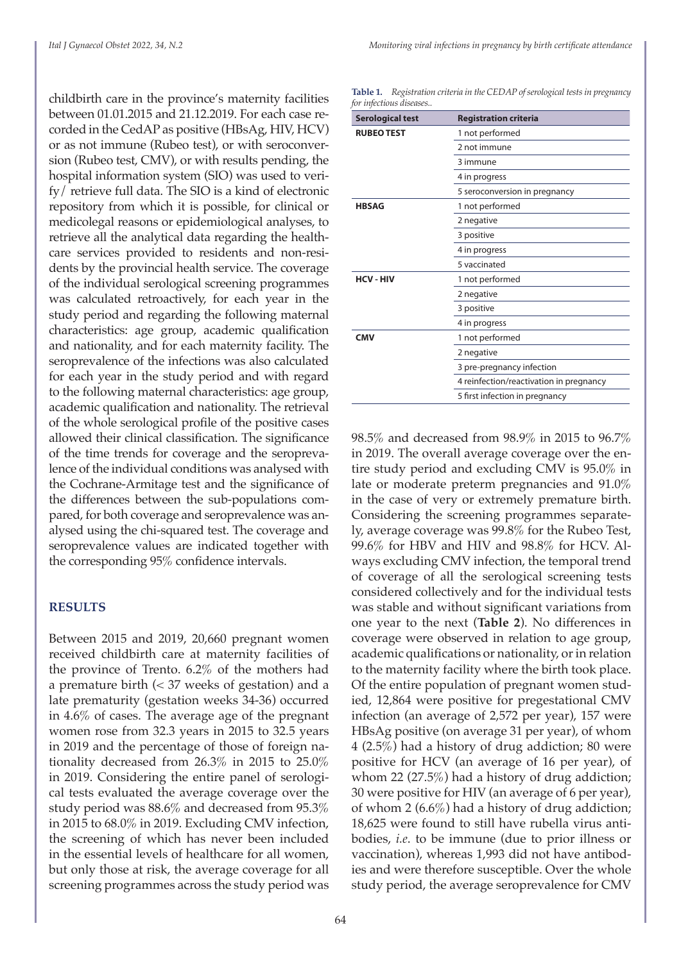childbirth care in the province's maternity facilities between 01.01.2015 and 21.12.2019. For each case recorded in the CedAP as positive (HBsAg, HIV, HCV) or as not immune (Rubeo test), or with seroconversion (Rubeo test, CMV), or with results pending, the hospital information system (SIO) was used to verify/ retrieve full data. The SIO is a kind of electronic repository from which it is possible, for clinical or medicolegal reasons or epidemiological analyses, to retrieve all the analytical data regarding the healthcare services provided to residents and non-residents by the provincial health service. The coverage of the individual serological screening programmes was calculated retroactively, for each year in the study period and regarding the following maternal characteristics: age group, academic qualification and nationality, and for each maternity facility. The seroprevalence of the infections was also calculated for each year in the study period and with regard to the following maternal characteristics: age group, academic qualification and nationality. The retrieval of the whole serological profile of the positive cases allowed their clinical classification. The significance of the time trends for coverage and the seroprevalence of the individual conditions was analysed with the Cochrane-Armitage test and the significance of the differences between the sub-populations compared, for both coverage and seroprevalence was analysed using the chi-squared test. The coverage and seroprevalence values are indicated together with the corresponding 95% confidence intervals.

#### **RESULTS**

Between 2015 and 2019, 20,660 pregnant women received childbirth care at maternity facilities of the province of Trento. 6.2% of the mothers had a premature birth (< 37 weeks of gestation) and a late prematurity (gestation weeks 34-36) occurred in 4.6% of cases. The average age of the pregnant women rose from 32.3 years in 2015 to 32.5 years in 2019 and the percentage of those of foreign nationality decreased from 26.3% in 2015 to 25.0% in 2019. Considering the entire panel of serological tests evaluated the average coverage over the study period was 88.6% and decreased from 95.3% in 2015 to 68.0% in 2019. Excluding CMV infection, the screening of which has never been included in the essential levels of healthcare for all women, but only those at risk, the average coverage for all screening programmes across the study period was

**Table 1.** *Registration criteria in the CEDAP of serological tests in pregnancy for infectious diseases..*

| <b>Serological test</b> | <b>Registration criteria</b>            |  |  |
|-------------------------|-----------------------------------------|--|--|
| <b>RUBEO TEST</b>       | 1 not performed                         |  |  |
|                         | 2 not immune                            |  |  |
|                         | 3 immune                                |  |  |
|                         | 4 in progress                           |  |  |
|                         | 5 seroconversion in pregnancy           |  |  |
| <b>HBSAG</b>            | 1 not performed                         |  |  |
|                         | 2 negative                              |  |  |
|                         | 3 positive                              |  |  |
|                         | 4 in progress                           |  |  |
|                         | 5 vaccinated                            |  |  |
| <b>HCV-HIV</b>          | 1 not performed                         |  |  |
|                         | 2 negative                              |  |  |
|                         | 3 positive                              |  |  |
|                         | 4 in progress                           |  |  |
| <b>CMV</b>              | 1 not performed                         |  |  |
|                         | 2 negative                              |  |  |
|                         | 3 pre-pregnancy infection               |  |  |
|                         | 4 reinfection/reactivation in pregnancy |  |  |
|                         | 5 first infection in pregnancy          |  |  |

98.5% and decreased from 98.9% in 2015 to 96.7% in 2019. The overall average coverage over the entire study period and excluding CMV is 95.0% in late or moderate preterm pregnancies and 91.0% in the case of very or extremely premature birth. Considering the screening programmes separately, average coverage was 99.8% for the Rubeo Test, 99.6% for HBV and HIV and 98.8% for HCV. Always excluding CMV infection, the temporal trend of coverage of all the serological screening tests considered collectively and for the individual tests was stable and without significant variations from one year to the next (**Table 2**). No differences in coverage were observed in relation to age group, academic qualifications or nationality, or in relation to the maternity facility where the birth took place. Of the entire population of pregnant women studied, 12,864 were positive for pregestational CMV infection (an average of 2,572 per year), 157 were HBsAg positive (on average 31 per year), of whom 4 (2.5%) had a history of drug addiction; 80 were positive for HCV (an average of 16 per year), of whom 22 (27.5%) had a history of drug addiction; 30 were positive for HIV (an average of 6 per year), of whom 2 (6.6%) had a history of drug addiction; 18,625 were found to still have rubella virus antibodies, *i.e*. to be immune (due to prior illness or vaccination), whereas 1,993 did not have antibodies and were therefore susceptible. Over the whole study period, the average seroprevalence for CMV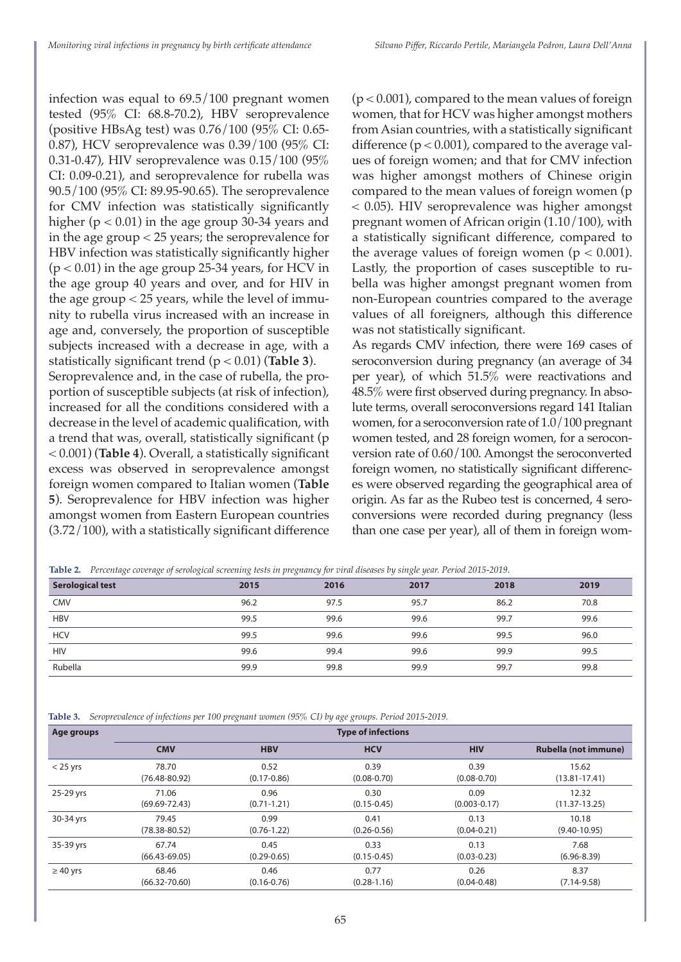infection was equal to 69.5/100 pregnant women tested (95% CI: 68.8-70.2), HBV seroprevalence (positive HBsAg test) was 0.76/100 (95% CI: 0.65- 0.87), HCV seroprevalence was 0.39/100 (95% CI: 0.31-0.47), HIV seroprevalence was 0.15/100 (95% CI: 0.09-0.21), and seroprevalence for rubella was 90.5/100 (95% CI: 89.95-90.65). The seroprevalence for CMV infection was statistically significantly higher (p < 0.01) in the age group 30-34 years and in the age group < 25 years; the seroprevalence for HBV infection was statistically significantly higher  $(p < 0.01)$  in the age group 25-34 years, for HCV in the age group 40 years and over, and for HIV in the age group < 25 years, while the level of immunity to rubella virus increased with an increase in age and, conversely, the proportion of susceptible subjects increased with a decrease in age, with a statistically significant trend (p < 0.01) (**Table 3**).

Seroprevalence and, in the case of rubella, the proportion of susceptible subjects (at risk of infection), increased for all the conditions considered with a decrease in the level of academic qualification, with a trend that was, overall, statistically significant (p < 0.001) (**Table 4**). Overall, a statistically significant excess was observed in seroprevalence amongst foreign women compared to Italian women (**Table 5**). Seroprevalence for HBV infection was higher amongst women from Eastern European countries (3.72/100), with a statistically significant difference

 $(p < 0.001)$ , compared to the mean values of foreign women, that for HCV was higher amongst mothers from Asian countries, with a statistically significant difference  $(p < 0.001)$ , compared to the average values of foreign women; and that for CMV infection was higher amongst mothers of Chinese origin compared to the mean values of foreign women (p < 0.05). HIV seroprevalence was higher amongst pregnant women of African origin (1.10/100), with a statistically significant difference, compared to the average values of foreign women ( $p < 0.001$ ). Lastly, the proportion of cases susceptible to rubella was higher amongst pregnant women from non-European countries compared to the average values of all foreigners, although this difference was not statistically significant.

As regards CMV infection, there were 169 cases of seroconversion during pregnancy (an average of 34 per year), of which 51.5% were reactivations and 48.5% were first observed during pregnancy. In absolute terms, overall seroconversions regard 141 Italian women, for a seroconversion rate of 1.0/100 pregnant women tested, and 28 foreign women, for a seroconversion rate of 0.60/100. Amongst the seroconverted foreign women, no statistically significant differences were observed regarding the geographical area of origin. As far as the Rubeo test is concerned, 4 seroconversions were recorded during pregnancy (less than one case per year), all of them in foreign wom-

| Table 2. Percentage coverage of serological screening tests in pregnancy for viral diseases by single year. Period 2015-2019. |      |      |      |      |      |  |
|-------------------------------------------------------------------------------------------------------------------------------|------|------|------|------|------|--|
| <b>Serological test</b>                                                                                                       | 2015 | 2016 | 2017 | 2018 | 2019 |  |
| <b>CMV</b>                                                                                                                    | 96.2 | 97.5 | 95.7 | 86.2 | 70.8 |  |
| <b>HBV</b>                                                                                                                    | 99.5 | 99.6 | 99.6 | 99.7 | 99.6 |  |
| <b>HCV</b>                                                                                                                    | 99.5 | 99.6 | 99.6 | 99.5 | 96.0 |  |
| <b>HIV</b>                                                                                                                    | 99.6 | 99.4 | 99.6 | 99.9 | 99.5 |  |
| Rubella                                                                                                                       | 99.9 | 99.8 | 99.9 | 99.7 | 99.8 |  |

**Table 3.** *Seroprevalence of infections per 100 pregnant women (95% CI) by age groups. Period 2015-2019.*

| Age groups    |                   | <b>Type of infections</b> |                 |                  |                      |  |  |
|---------------|-------------------|---------------------------|-----------------|------------------|----------------------|--|--|
|               | <b>CMV</b>        | <b>HBV</b>                | <b>HCV</b>      | <b>HIV</b>       | Rubella (not immune) |  |  |
| $<$ 25 yrs    | 78.70             | 0.52                      | 0.39            | 0.39             | 15.62                |  |  |
|               | $(76.48 - 80.92)$ | $(0.17 - 0.86)$           | $(0.08 - 0.70)$ | $(0.08 - 0.70)$  | $(13.81 - 17.41)$    |  |  |
| 25-29 yrs     | 71.06             | 0.96                      | 0.30            | 0.09             | 12.32                |  |  |
|               | $(69.69 - 72.43)$ | $(0.71 - 1.21)$           | $(0.15 - 0.45)$ | $(0.003 - 0.17)$ | $(11.37 - 13.25)$    |  |  |
| 30-34 yrs     | 79.45             | 0.99                      | 0.41            | 0.13             | 10.18                |  |  |
|               | $(78.38 - 80.52)$ | $(0.76 - 1.22)$           | $(0.26 - 0.56)$ | $(0.04 - 0.21)$  | $(9.40 - 10.95)$     |  |  |
| 35-39 yrs     | 67.74             | 0.45                      | 0.33            | 0.13             | 7.68                 |  |  |
|               | $(66.43 - 69.05)$ | $(0.29 - 0.65)$           | $(0.15 - 0.45)$ | $(0.03 - 0.23)$  | $(6.96 - 8.39)$      |  |  |
| $\geq 40$ yrs | 68.46             | 0.46                      | 0.77            | 0.26             | 8.37                 |  |  |
|               | $(66.32 - 70.60)$ | $(0.16 - 0.76)$           | $(0.28 - 1.16)$ | $(0.04 - 0.48)$  | $(7.14 - 9.58)$      |  |  |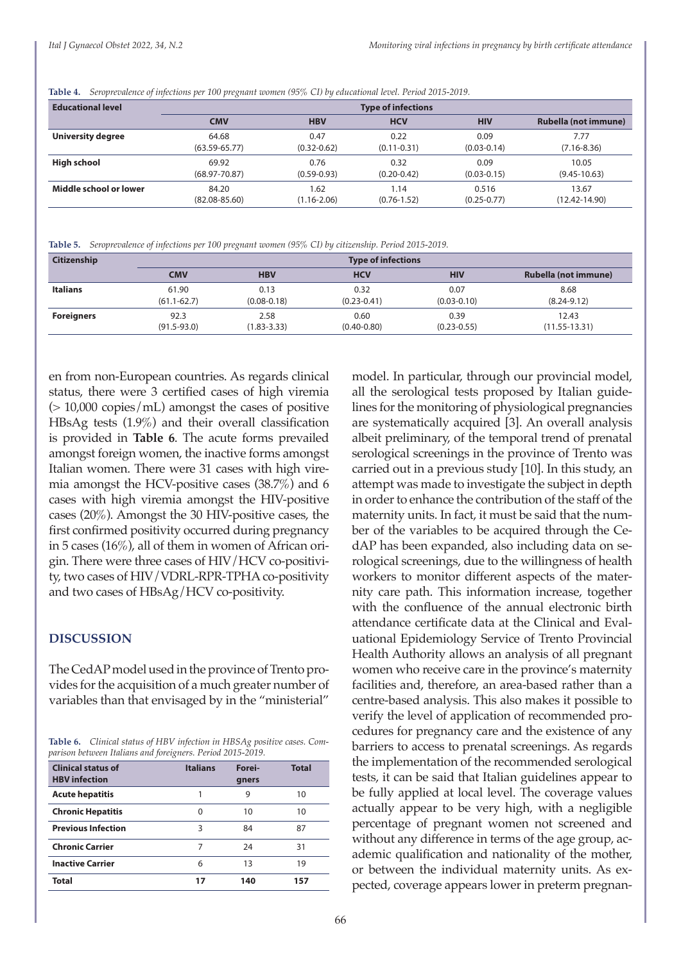**Table 4.** *Seroprevalence of infections per 100 pregnant women (95% CI) by educational level. Period 2015-2019.* 

| <b>Educational level</b> | <b>Type of infections</b> |                 |                 |                 |                      |  |
|--------------------------|---------------------------|-----------------|-----------------|-----------------|----------------------|--|
|                          | <b>CMV</b>                | <b>HBV</b>      | <b>HCV</b>      | <b>HIV</b>      | Rubella (not immune) |  |
| University degree        | 64.68                     | 0.47            | 0.22            | 0.09            | 7.77                 |  |
|                          | $(63.59 - 65.77)$         | $(0.32 - 0.62)$ | $(0.11 - 0.31)$ | $(0.03 - 0.14)$ | $(7.16 - 8.36)$      |  |
| High school              | 69.92                     | 0.76            | 0.32            | 0.09            | 10.05                |  |
|                          | $(68.97 - 70.87)$         | $(0.59 - 0.93)$ | $(0.20 - 0.42)$ | $(0.03 - 0.15)$ | $(9.45 - 10.63)$     |  |
| Middle school or lower   | 84.20                     | .62             | 1.14            | 0.516           | 13.67                |  |
|                          | $(82.08 - 85.60)$         | $(1.16 - 2.06)$ | $(0.76 - 1.52)$ | $(0.25 - 0.77)$ | $(12.42 - 14.90)$    |  |

**Table 5.** *Seroprevalence of infections per 100 pregnant women (95% CI) by citizenship. Period 2015-2019.* 

| Citizenship       |                 | <b>Type of infections</b> |                 |                 |                      |
|-------------------|-----------------|---------------------------|-----------------|-----------------|----------------------|
|                   | CMV             | <b>HBV</b>                | <b>HCV</b>      | <b>HIV</b>      | Rubella (not immune) |
| <b>Italians</b>   | 61.90           | 0.13                      | 0.32            | 0.07            | 8.68                 |
|                   | $(61.1 - 62.7)$ | $(0.08 - 0.18)$           | $(0.23 - 0.41)$ | $(0.03 - 0.10)$ | $(8.24 - 9.12)$      |
| <b>Foreigners</b> | 92.3            | 2.58                      | 0.60            | 0.39            | 12.43                |
|                   | $(91.5 - 93.0)$ | $(1.83 - 3.33)$           | $(0.40 - 0.80)$ | $(0.23 - 0.55)$ | $(11.55 - 13.31)$    |

en from non-European countries. As regards clinical status, there were 3 certified cases of high viremia  $(> 10,000$  copies/mL) amongst the cases of positive HBsAg tests (1.9%) and their overall classification is provided in **Table 6**. The acute forms prevailed amongst foreign women, the inactive forms amongst Italian women. There were 31 cases with high viremia amongst the HCV-positive cases (38.7%) and 6 cases with high viremia amongst the HIV-positive cases (20%). Amongst the 30 HIV-positive cases, the first confirmed positivity occurred during pregnancy in 5 cases (16%), all of them in women of African origin. There were three cases of HIV/HCV co-positivity, two cases of HIV/VDRL-RPR-TPHA co-positivity and two cases of HBsAg/HCV co-positivity.

#### **DISCUSSION**

The CedAP model used in the province of Trento provides for the acquisition of a much greater number of variables than that envisaged by in the "ministerial"

**Table 6.** *Clinical status of HBV infection in HBSAg positive cases. Comparison between Italians and foreigners. Period 2015-2019.* 

| <b>Clinical status of</b><br><b>HBV</b> infection | <b>Italians</b> | Forei-<br>gners | <b>Total</b> |
|---------------------------------------------------|-----------------|-----------------|--------------|
| <b>Acute hepatitis</b>                            |                 | 9               | 10           |
| <b>Chronic Hepatitis</b>                          | 0               | 10              | 10           |
| <b>Previous Infection</b>                         | 3               | 84              | 87           |
| <b>Chronic Carrier</b>                            | 7               | 24              | 31           |
| <b>Inactive Carrier</b>                           | 6               | 13              | 19           |
| <b>Total</b>                                      | 17              | 140             | 157          |

model. In particular, through our provincial model, all the serological tests proposed by Italian guidelines for the monitoring of physiological pregnancies are systematically acquired [3]. An overall analysis albeit preliminary, of the temporal trend of prenatal serological screenings in the province of Trento was carried out in a previous study [10]. In this study, an attempt was made to investigate the subject in depth in order to enhance the contribution of the staff of the maternity units. In fact, it must be said that the number of the variables to be acquired through the CedAP has been expanded, also including data on serological screenings, due to the willingness of health workers to monitor different aspects of the maternity care path. This information increase, together with the confluence of the annual electronic birth attendance certificate data at the Clinical and Evaluational Epidemiology Service of Trento Provincial Health Authority allows an analysis of all pregnant women who receive care in the province's maternity facilities and, therefore, an area-based rather than a centre-based analysis. This also makes it possible to verify the level of application of recommended procedures for pregnancy care and the existence of any barriers to access to prenatal screenings. As regards the implementation of the recommended serological tests, it can be said that Italian guidelines appear to be fully applied at local level. The coverage values actually appear to be very high, with a negligible percentage of pregnant women not screened and without any difference in terms of the age group, academic qualification and nationality of the mother, or between the individual maternity units. As expected, coverage appears lower in preterm pregnan-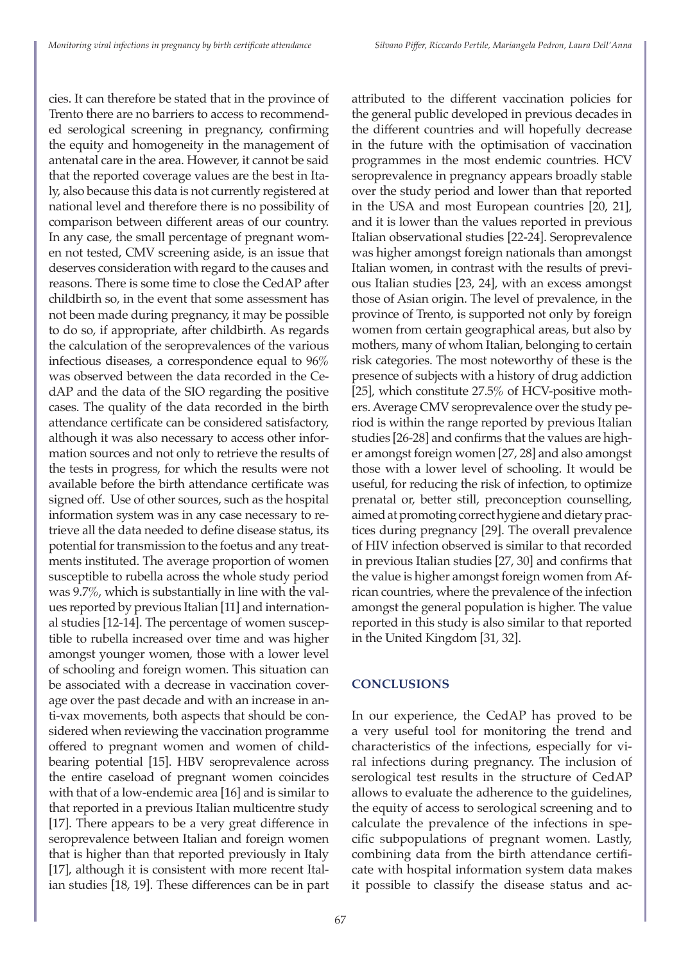attributed to the different vaccination policies for

cies. It can therefore be stated that in the province of Trento there are no barriers to access to recommended serological screening in pregnancy, confirming the equity and homogeneity in the management of antenatal care in the area. However, it cannot be said that the reported coverage values are the best in Italy, also because this data is not currently registered at national level and therefore there is no possibility of comparison between different areas of our country. In any case, the small percentage of pregnant women not tested, CMV screening aside, is an issue that deserves consideration with regard to the causes and reasons. There is some time to close the CedAP after childbirth so, in the event that some assessment has not been made during pregnancy, it may be possible to do so, if appropriate, after childbirth. As regards the calculation of the seroprevalences of the various infectious diseases, a correspondence equal to 96% was observed between the data recorded in the CedAP and the data of the SIO regarding the positive cases. The quality of the data recorded in the birth attendance certificate can be considered satisfactory, although it was also necessary to access other information sources and not only to retrieve the results of the tests in progress, for which the results were not available before the birth attendance certificate was signed off. Use of other sources, such as the hospital information system was in any case necessary to retrieve all the data needed to define disease status, its potential for transmission to the foetus and any treatments instituted. The average proportion of women susceptible to rubella across the whole study period was 9.7%, which is substantially in line with the values reported by previous Italian [11] and international studies [12-14]. The percentage of women susceptible to rubella increased over time and was higher amongst younger women, those with a lower level of schooling and foreign women. This situation can be associated with a decrease in vaccination coverage over the past decade and with an increase in anti-vax movements, both aspects that should be considered when reviewing the vaccination programme offered to pregnant women and women of childbearing potential [15]. HBV seroprevalence across the entire caseload of pregnant women coincides with that of a low-endemic area [16] and is similar to that reported in a previous Italian multicentre study [17]. There appears to be a very great difference in seroprevalence between Italian and foreign women that is higher than that reported previously in Italy [17], although it is consistent with more recent Italian studies [18, 19]. These differences can be in part

the general public developed in previous decades in the different countries and will hopefully decrease in the future with the optimisation of vaccination programmes in the most endemic countries. HCV seroprevalence in pregnancy appears broadly stable over the study period and lower than that reported in the USA and most European countries [20, 21], and it is lower than the values reported in previous Italian observational studies [22-24]. Seroprevalence was higher amongst foreign nationals than amongst Italian women, in contrast with the results of previous Italian studies [23, 24], with an excess amongst those of Asian origin. The level of prevalence, in the province of Trento, is supported not only by foreign women from certain geographical areas, but also by mothers, many of whom Italian, belonging to certain risk categories. The most noteworthy of these is the presence of subjects with a history of drug addiction [25], which constitute 27.5% of HCV-positive mothers. Average CMV seroprevalence over the study period is within the range reported by previous Italian studies [26-28] and confirms that the values are higher amongst foreign women [27, 28] and also amongst those with a lower level of schooling. It would be useful, for reducing the risk of infection, to optimize prenatal or, better still, preconception counselling, aimed at promoting correct hygiene and dietary practices during pregnancy [29]. The overall prevalence of HIV infection observed is similar to that recorded in previous Italian studies [27, 30] and confirms that the value is higher amongst foreign women from African countries, where the prevalence of the infection amongst the general population is higher. The value reported in this study is also similar to that reported in the United Kingdom [31, 32]. **CONCLUSIONS**

In our experience, the CedAP has proved to be a very useful tool for monitoring the trend and characteristics of the infections, especially for viral infections during pregnancy. The inclusion of serological test results in the structure of CedAP allows to evaluate the adherence to the guidelines, the equity of access to serological screening and to calculate the prevalence of the infections in specific subpopulations of pregnant women. Lastly, combining data from the birth attendance certificate with hospital information system data makes it possible to classify the disease status and ac-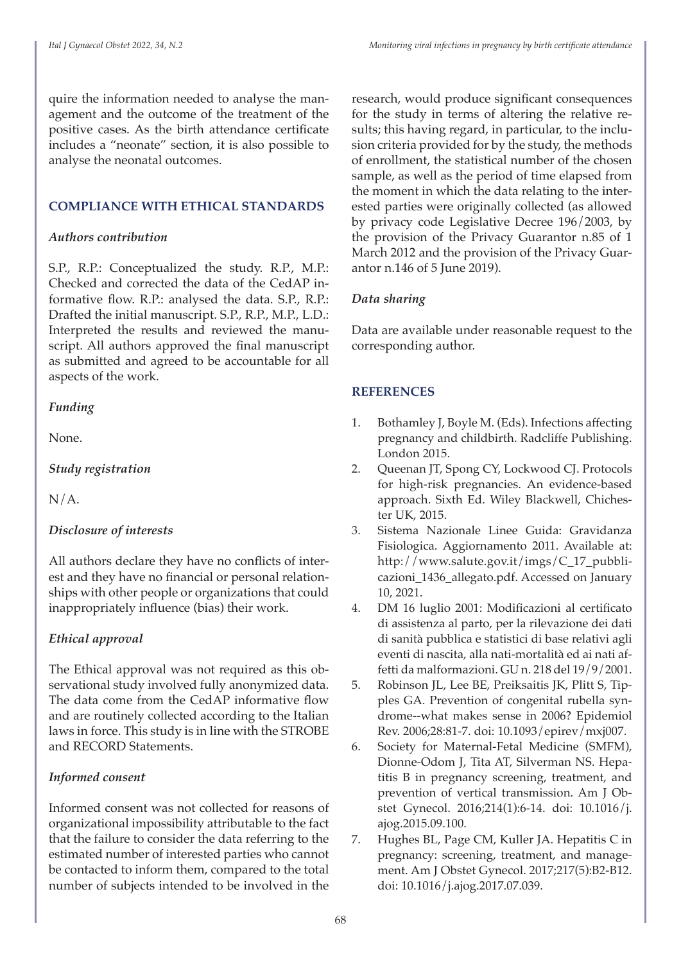quire the information needed to analyse the management and the outcome of the treatment of the positive cases. As the birth attendance certificate includes a "neonate" section, it is also possible to analyse the neonatal outcomes.

#### **COMPLIANCE WITH ETHICAL STANDARDS**

#### *Authors contribution*

S.P., R.P.: Conceptualized the study. R.P., M.P.: Checked and corrected the data of the CedAP informative flow. R.P.: analysed the data. S.P., R.P.: Drafted the initial manuscript. S.P., R.P., M.P., L.D.: Interpreted the results and reviewed the manuscript. All authors approved the final manuscript as submitted and agreed to be accountable for all aspects of the work.

#### *Funding*

None.

*Study registration*

N/A.

## *Disclosure of interests*

All authors declare they have no conflicts of interest and they have no financial or personal relationships with other people or organizations that could inappropriately influence (bias) their work.

## *Ethical approval*

The Ethical approval was not required as this observational study involved fully anonymized data. The data come from the CedAP informative flow and are routinely collected according to the Italian laws in force. This study is in line with the STROBE and RECORD Statements.

## *Informed consent*

Informed consent was not collected for reasons of organizational impossibility attributable to the fact that the failure to consider the data referring to the estimated number of interested parties who cannot be contacted to inform them, compared to the total number of subjects intended to be involved in the

research, would produce significant consequences for the study in terms of altering the relative results; this having regard, in particular, to the inclusion criteria provided for by the study, the methods of enrollment, the statistical number of the chosen sample, as well as the period of time elapsed from the moment in which the data relating to the interested parties were originally collected (as allowed by privacy code Legislative Decree 196/2003, by the provision of the Privacy Guarantor n.85 of 1 March 2012 and the provision of the Privacy Guarantor n.146 of 5 June 2019).

## *Data sharing*

Data are available under reasonable request to the corresponding author.

## **REFERENCES**

- 1. Bothamley J, Boyle M. (Eds). Infections affecting pregnancy and childbirth. Radcliffe Publishing. London 2015.
- 2. Queenan JT, Spong CY, Lockwood CJ. Protocols for high-risk pregnancies. An evidence-based approach. Sixth Ed. Wiley Blackwell, Chichester UK, 2015.
- 3. Sistema Nazionale Linee Guida: Gravidanza Fisiologica. Aggiornamento 2011. Available at: http://www.salute.gov.it/imgs/C\_17\_pubblicazioni\_1436\_allegato.pdf. Accessed on January 10, 2021.
- 4. DM 16 luglio 2001: Modificazioni al certificato di assistenza al parto, per la rilevazione dei dati di sanità pubblica e statistici di base relativi agli eventi di nascita, alla nati-mortalità ed ai nati affetti da malformazioni. GU n. 218 del 19/9/2001.
- 5. Robinson JL, Lee BE, Preiksaitis JK, Plitt S, Tipples GA. Prevention of congenital rubella syndrome--what makes sense in 2006? Epidemiol Rev. 2006;28:81-7. doi: 10.1093/epirev/mxj007.
- 6. Society for Maternal-Fetal Medicine (SMFM), Dionne-Odom J, Tita AT, Silverman NS. Hepatitis B in pregnancy screening, treatment, and prevention of vertical transmission. Am J Obstet Gynecol. 2016;214(1):6-14. doi: 10.1016/j. ajog.2015.09.100.
- 7. Hughes BL, Page CM, Kuller JA. Hepatitis C in pregnancy: screening, treatment, and management. Am J Obstet Gynecol. 2017;217(5):B2-B12. doi: 10.1016/j.ajog.2017.07.039.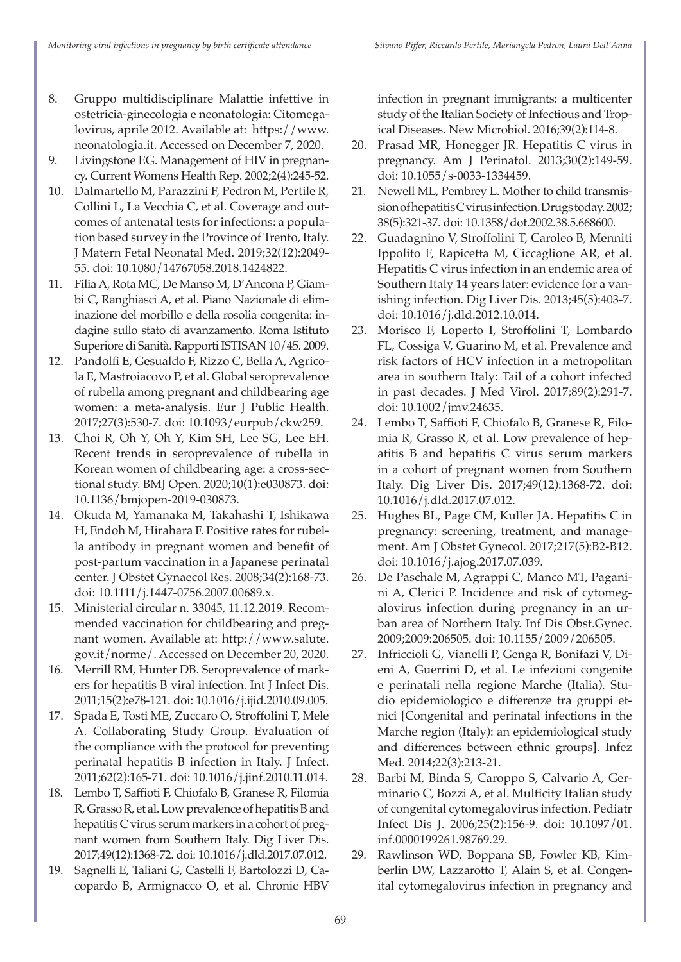- 8. Gruppo multidisciplinare Malattie infettive in ostetricia-ginecologia e neonatologia: Citomegalovirus, aprile 2012. Available at: https://www. neonatologia.it. Accessed on December 7, 2020.
- 9. Livingstone EG. Management of HIV in pregnancy. Current Womens Health Rep. 2002;2(4):245-52.
- 10. Dalmartello M, Parazzini F, Pedron M, Pertile R, Collini L, La Vecchia C, et al. Coverage and outcomes of antenatal tests for infections: a population based survey in the Province of Trento, Italy. J Matern Fetal Neonatal Med. 2019;32(12):2049- 55. doi: 10.1080/14767058.2018.1424822.
- 11. Filia A, Rota MC, De Manso M, D'Ancona P, Giambi C, Ranghiasci A, et al. Piano Nazionale di eliminazione del morbillo e della rosolia congenita: indagine sullo stato di avanzamento. Roma Istituto Superiore di Sanità. Rapporti ISTISAN 10/45. 2009.
- 12. Pandolfi E, Gesualdo F, Rizzo C, Bella A, Agricola E, Mastroiacovo P, et al. Global seroprevalence of rubella among pregnant and childbearing age women: a meta-analysis. Eur J Public Health. 2017;27(3):530-7. doi: 10.1093/eurpub/ckw259.
- 13. Choi R, Oh Y, Oh Y, Kim SH, Lee SG, Lee EH. Recent trends in seroprevalence of rubella in Korean women of childbearing age: a cross-sectional study. BMJ Open. 2020;10(1):e030873. doi: 10.1136/bmjopen-2019-030873.
- 14. Okuda M, Yamanaka M, Takahashi T, Ishikawa H, Endoh M, Hirahara F. Positive rates for rubella antibody in pregnant women and benefit of post-partum vaccination in a Japanese perinatal center. J Obstet Gynaecol Res. 2008;34(2):168-73. doi: 10.1111/j.1447-0756.2007.00689.x.
- 15. Ministerial circular n. 33045, 11.12.2019. Recommended vaccination for childbearing and pregnant women. Available at: http://www.salute. gov.it/norme/. Accessed on December 20, 2020.
- 16. Merrill RM, Hunter DB. Seroprevalence of markers for hepatitis B viral infection. Int J Infect Dis. 2011;15(2):e78-121. doi: 10.1016/j.ijid.2010.09.005.
- 17. Spada E, Tosti ME, Zuccaro O, Stroffolini T, Mele A. Collaborating Study Group. Evaluation of the compliance with the protocol for preventing perinatal hepatitis B infection in Italy. J Infect. 2011;62(2):165-71. doi: 10.1016/j.jinf.2010.11.014.
- 18. Lembo T, Saffioti F, Chiofalo B, Granese R, Filomia R, Grasso R, et al. Low prevalence of hepatitis B and hepatitis C virus serum markers in a cohort of pregnant women from Southern Italy. Dig Liver Dis. 2017;49(12):1368-72. doi: 10.1016/j.dld.2017.07.012.
- 19. Sagnelli E, Taliani G, Castelli F, Bartolozzi D, Cacopardo B, Armignacco O, et al. Chronic HBV

infection in pregnant immigrants: a multicenter study of the Italian Society of Infectious and Tropical Diseases. New Microbiol. 2016;39(2):114-8.

- 20. Prasad MR, Honegger JR. Hepatitis C virus in pregnancy. Am J Perinatol. 2013;30(2):149-59. doi: 10.1055/s-0033-1334459.
- 21. Newell ML, Pembrey L. Mother to child transmission of hepatitis C virus infection. Drugs today. 2002; 38(5):321-37. doi: 10.1358/dot.2002.38.5.668600.
- 22. Guadagnino V, Stroffolini T, Caroleo B, Menniti Ippolito F, Rapicetta M, Ciccaglione AR, et al. Hepatitis C virus infection in an endemic area of Southern Italy 14 years later: evidence for a vanishing infection. Dig Liver Dis. 2013;45(5):403-7. doi: 10.1016/j.dld.2012.10.014.
- 23. Morisco F, Loperto I, Stroffolini T, Lombardo FL, Cossiga V, Guarino M, et al. Prevalence and risk factors of HCV infection in a metropolitan area in southern Italy: Tail of a cohort infected in past decades. J Med Virol. 2017;89(2):291-7. doi: 10.1002/jmv.24635.
- 24. Lembo T, Saffioti F, Chiofalo B, Granese R, Filomia R, Grasso R, et al. Low prevalence of hepatitis B and hepatitis C virus serum markers in a cohort of pregnant women from Southern Italy. Dig Liver Dis. 2017;49(12):1368-72. doi: 10.1016/j.dld.2017.07.012.
- 25. Hughes BL, Page CM, Kuller JA. Hepatitis C in pregnancy: screening, treatment, and management. Am J Obstet Gynecol. 2017;217(5):B2-B12. doi: 10.1016/j.ajog.2017.07.039.
- 26. De Paschale M, Agrappi C, Manco MT, Paganini A, Clerici P. Incidence and risk of cytomegalovirus infection during pregnancy in an urban area of Northern Italy. Inf Dis Obst.Gynec. 2009;2009:206505. doi: 10.1155/2009/206505.
- 27. Infriccioli G, Vianelli P, Genga R, Bonifazi V, Dieni A, Guerrini D, et al. Le infezioni congenite e perinatali nella regione Marche (Italia). Studio epidemiologico e differenze tra gruppi etnici [Congenital and perinatal infections in the Marche region (Italy): an epidemiological study and differences between ethnic groups]. Infez Med. 2014;22(3):213-21.
- 28. Barbi M, Binda S, Caroppo S, Calvario A, Germinario C, Bozzi A, et al. Multicity Italian study of congenital cytomegalovirus infection. Pediatr Infect Dis J. 2006;25(2):156-9. doi: 10.1097/01. inf.0000199261.98769.29.
- 29. Rawlinson WD, Boppana SB, Fowler KB, Kimberlin DW, Lazzarotto T, Alain S, et al. Congenital cytomegalovirus infection in pregnancy and